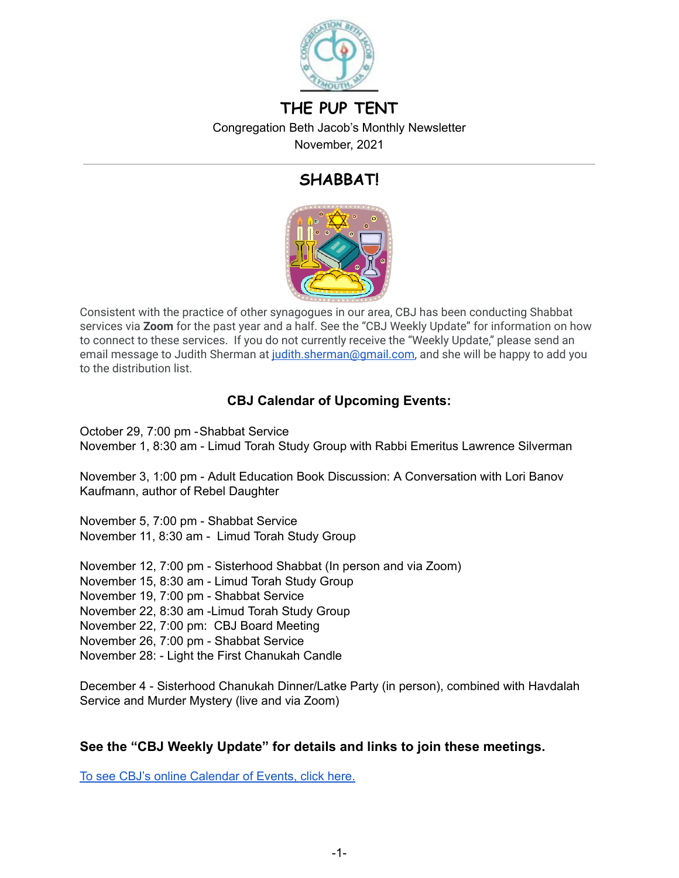

# **THE PUP TENT**

Congregation Beth Jacob's Monthly Newsletter

November, 2021

# **SHABBAT!**



Consistent with the practice of other synagogues in our area, CBJ has been conducting Shabbat services via **Zoom** for the past year and a half. See the "CBJ Weekly Update" for information on how to connect to these services. If you do not currently receive the "Weekly Update," please send an email message to Judith Sherman at [judith.sherman@gmail.com](mailto:judith.sherman@gmail.com), and she will be happy to add you to the distribution list.

# **CBJ Calendar of Upcoming Events:**

October 29, 7:00 pm -Shabbat Service November 1, 8:30 am - Limud Torah Study Group with Rabbi Emeritus Lawrence Silverman

November 3, 1:00 pm - Adult Education Book Discussion: A Conversation with Lori Banov Kaufmann, author of Rebel Daughter

November 5, 7:00 pm - Shabbat Service November 11, 8:30 am - Limud Torah Study Group

November 12, 7:00 pm - Sisterhood Shabbat (In person and via Zoom)

November 15, 8:30 am - Limud Torah Study Group

November 19, 7:00 pm - Shabbat Service

November 22, 8:30 am -Limud Torah Study Group

November 22, 7:00 pm: CBJ Board Meeting

November 26, 7:00 pm - Shabbat Service

November 28: - Light the First Chanukah Candle

December 4 - Sisterhood Chanukah Dinner/Latke Party (in person), combined with Havdalah Service and Murder Mystery (live and via Zoom)

# **See the "CBJ Weekly Update" for details and links to join these meetings.**

To see CBJ's online [Calendar](https://www.cbjplymouth.org/calendar/full-calendar) of Events, click here.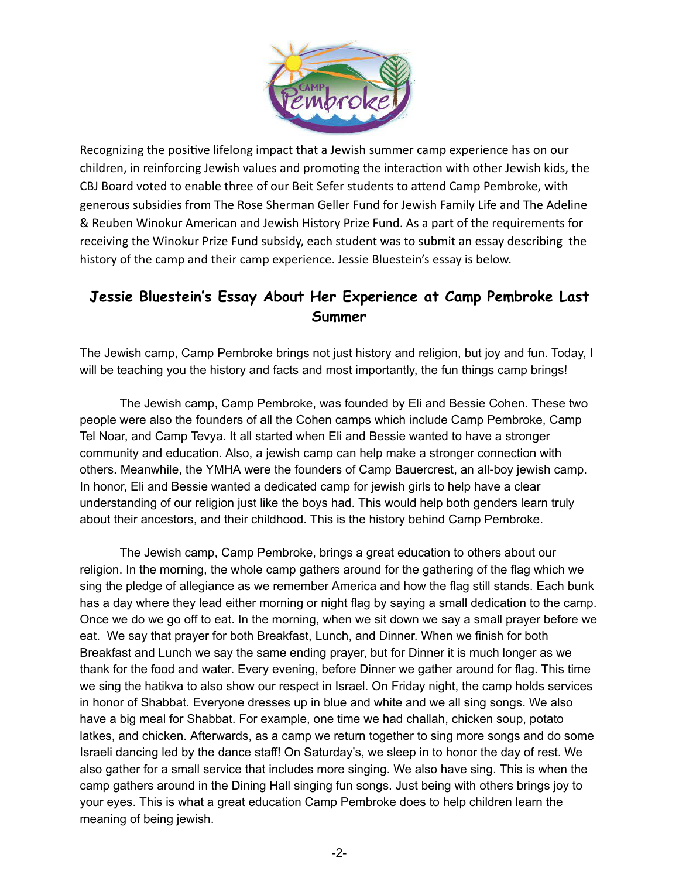

Recognizing the positive lifelong impact that a Jewish summer camp experience has on our children, in reinforcing Jewish values and promoting the interaction with other Jewish kids, the CBJ Board voted to enable three of our Beit Sefer students to attend Camp Pembroke, with generous subsidies from The Rose Sherman Geller Fund for Jewish Family Life and The Adeline & Reuben Winokur American and Jewish History Prize Fund. As a part of the requirements for receiving the Winokur Prize Fund subsidy, each student was to submit an essay describing the history of the camp and their camp experience. Jessie Bluestein's essay is below.

# **Jessie Bluestein's Essay About Her Experience at Camp Pembroke Last Summer**

The Jewish camp, Camp Pembroke brings not just history and religion, but joy and fun. Today, I will be teaching you the history and facts and most importantly, the fun things camp brings!

The Jewish camp, Camp Pembroke, was founded by Eli and Bessie Cohen. These two people were also the founders of all the Cohen camps which include Camp Pembroke, Camp Tel Noar, and Camp Tevya. It all started when Eli and Bessie wanted to have a stronger community and education. Also, a jewish camp can help make a stronger connection with others. Meanwhile, the YMHA were the founders of Camp Bauercrest, an all-boy jewish camp. In honor, Eli and Bessie wanted a dedicated camp for jewish girls to help have a clear understanding of our religion just like the boys had. This would help both genders learn truly about their ancestors, and their childhood. This is the history behind Camp Pembroke.

The Jewish camp, Camp Pembroke, brings a great education to others about our religion. In the morning, the whole camp gathers around for the gathering of the flag which we sing the pledge of allegiance as we remember America and how the flag still stands. Each bunk has a day where they lead either morning or night flag by saying a small dedication to the camp. Once we do we go off to eat. In the morning, when we sit down we say a small prayer before we eat. We say that prayer for both Breakfast, Lunch, and Dinner. When we finish for both Breakfast and Lunch we say the same ending prayer, but for Dinner it is much longer as we thank for the food and water. Every evening, before Dinner we gather around for flag. This time we sing the hatikva to also show our respect in Israel. On Friday night, the camp holds services in honor of Shabbat. Everyone dresses up in blue and white and we all sing songs. We also have a big meal for Shabbat. For example, one time we had challah, chicken soup, potato latkes, and chicken. Afterwards, as a camp we return together to sing more songs and do some Israeli dancing led by the dance staff! On Saturday's, we sleep in to honor the day of rest. We also gather for a small service that includes more singing. We also have sing. This is when the camp gathers around in the Dining Hall singing fun songs. Just being with others brings joy to your eyes. This is what a great education Camp Pembroke does to help children learn the meaning of being jewish.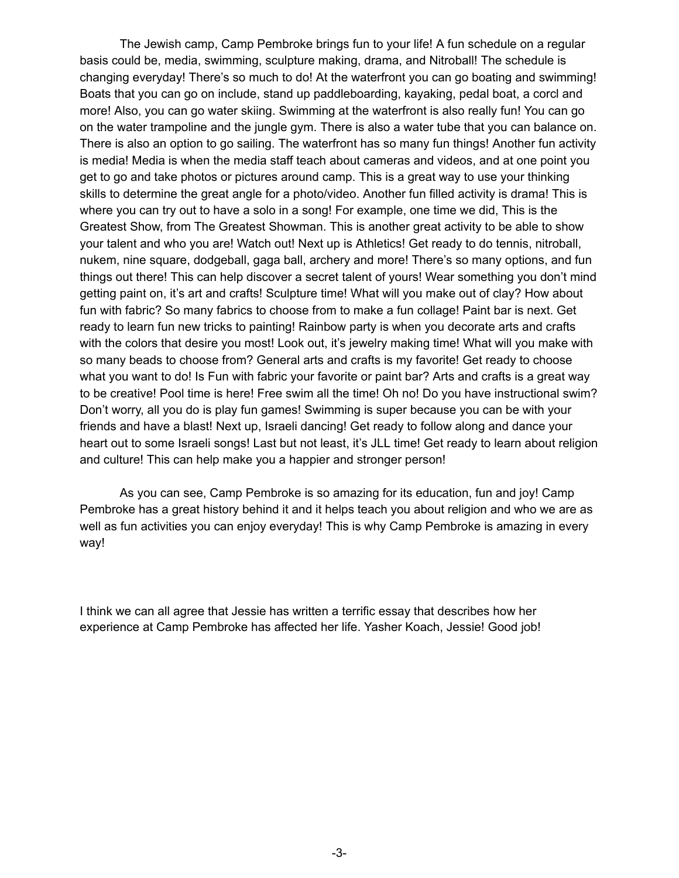The Jewish camp, Camp Pembroke brings fun to your life! A fun schedule on a regular basis could be, media, swimming, sculpture making, drama, and Nitroball! The schedule is changing everyday! There's so much to do! At the waterfront you can go boating and swimming! Boats that you can go on include, stand up paddleboarding, kayaking, pedal boat, a corcl and more! Also, you can go water skiing. Swimming at the waterfront is also really fun! You can go on the water trampoline and the jungle gym. There is also a water tube that you can balance on. There is also an option to go sailing. The waterfront has so many fun things! Another fun activity is media! Media is when the media staff teach about cameras and videos, and at one point you get to go and take photos or pictures around camp. This is a great way to use your thinking skills to determine the great angle for a photo/video. Another fun filled activity is drama! This is where you can try out to have a solo in a song! For example, one time we did, This is the Greatest Show, from The Greatest Showman. This is another great activity to be able to show your talent and who you are! Watch out! Next up is Athletics! Get ready to do tennis, nitroball, nukem, nine square, dodgeball, gaga ball, archery and more! There's so many options, and fun things out there! This can help discover a secret talent of yours! Wear something you don't mind getting paint on, it's art and crafts! Sculpture time! What will you make out of clay? How about fun with fabric? So many fabrics to choose from to make a fun collage! Paint bar is next. Get ready to learn fun new tricks to painting! Rainbow party is when you decorate arts and crafts with the colors that desire you most! Look out, it's jewelry making time! What will you make with so many beads to choose from? General arts and crafts is my favorite! Get ready to choose what you want to do! Is Fun with fabric your favorite or paint bar? Arts and crafts is a great way to be creative! Pool time is here! Free swim all the time! Oh no! Do you have instructional swim? Don't worry, all you do is play fun games! Swimming is super because you can be with your friends and have a blast! Next up, Israeli dancing! Get ready to follow along and dance your heart out to some Israeli songs! Last but not least, it's JLL time! Get ready to learn about religion and culture! This can help make you a happier and stronger person!

As you can see, Camp Pembroke is so amazing for its education, fun and joy! Camp Pembroke has a great history behind it and it helps teach you about religion and who we are as well as fun activities you can enjoy everyday! This is why Camp Pembroke is amazing in every way!

I think we can all agree that Jessie has written a terrific essay that describes how her experience at Camp Pembroke has affected her life. Yasher Koach, Jessie! Good job!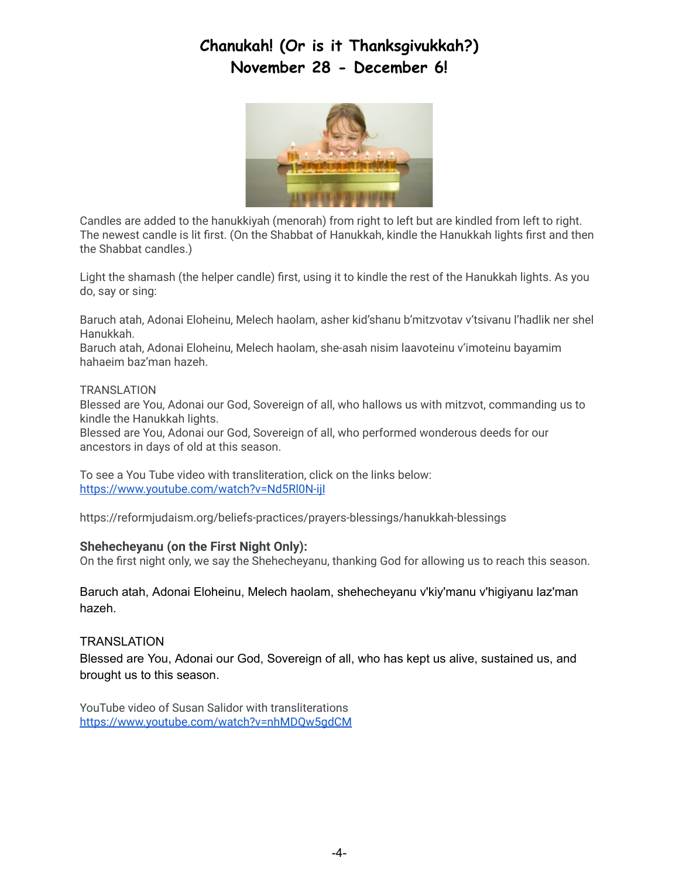# **Chanukah! (Or is it Thanksgivukkah?) November 28 - December 6!**



Candles are added to the hanukkiyah (menorah) from right to left but are kindled from left to right. The newest candle is lit first. (On the Shabbat of Hanukkah, kindle the Hanukkah lights first and then the Shabbat candles.)

Light the shamash (the helper candle) first, using it to kindle the rest of the Hanukkah lights. As you do, say or sing:

Baruch atah, Adonai Eloheinu, Melech haolam, asher kid'shanu b'mitzvotav v'tsivanu l'hadlik ner shel Hanukkah.

Baruch atah, Adonai Eloheinu, Melech haolam, she-asah nisim laavoteinu v'imoteinu bayamim hahaeim baz'man hazeh.

#### **TRANSLATION**

Blessed are You, Adonai our God, Sovereign of all, who hallows us with mitzvot, commanding us to kindle the Hanukkah lights.

Blessed are You, Adonai our God, Sovereign of all, who performed wonderous deeds for our ancestors in days of old at this season.

To see a You Tube video with transliteration, click on the links below: <https://www.youtube.com/watch?v=Nd5Rl0N-ijI>

https://reformjudaism.org/beliefs-practices/prayers-blessings/hanukkah-blessings

#### **Shehecheyanu (on the First Night Only):**

On the first night only, we say the Shehecheyanu, thanking God for allowing us to reach this season.

Baruch atah, Adonai Eloheinu, Melech haolam, shehecheyanu v'kiy'manu v'higiyanu laz'man hazeh.

#### **TRANSLATION**

Blessed are You, Adonai our God, Sovereign of all, who has kept us alive, sustained us, and brought us to this season.

YouTube video of Susan Salidor with transliterations <https://www.youtube.com/watch?v=nhMDQw5gdCM>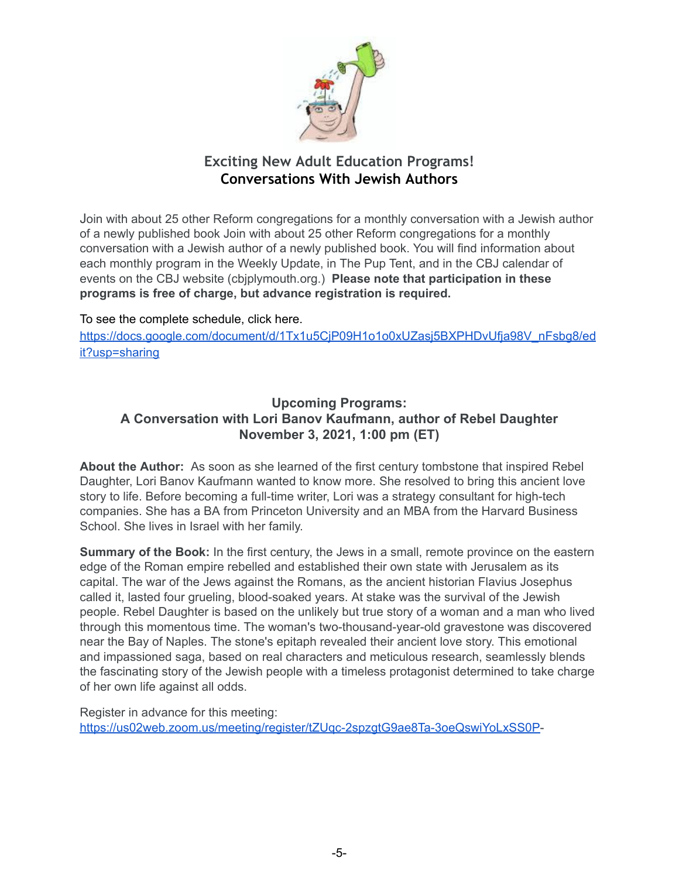

# **Exciting New Adult Education Programs! Conversations With Jewish Authors**

Join with about 25 other Reform congregations for a monthly conversation with a Jewish author of a newly published book Join with about 25 other Reform congregations for a monthly conversation with a Jewish author of a newly published book. You will find information about each monthly program in the Weekly Update, in The Pup Tent, and in the CBJ calendar of events on the CBJ website (cbjplymouth.org.) **Please note that participation in these programs is free of charge, but advance registration is required.**

#### To see the complete schedule, click here.

[https://docs.google.com/document/d/1Tx1u5CjP09H1o1o0xUZasj5BXPHDvUfja98V\\_nFsbg8/ed](https://docs.google.com/document/d/1Tx1u5CjP09H1o1o0xUZasj5BXPHDvUfja98V_nFsbg8/edit?usp=sharing) [it?usp=sharing](https://docs.google.com/document/d/1Tx1u5CjP09H1o1o0xUZasj5BXPHDvUfja98V_nFsbg8/edit?usp=sharing)

## **Upcoming Programs: A Conversation with Lori Banov Kaufmann, author of Rebel Daughter November 3, 2021, 1:00 pm (ET)**

**About the Author:** As soon as she learned of the first century tombstone that inspired Rebel Daughter, Lori Banov Kaufmann wanted to know more. She resolved to bring this ancient love story to life. Before becoming a full-time writer, Lori was a strategy consultant for high-tech companies. She has a BA from Princeton University and an MBA from the Harvard Business School. She lives in Israel with her family.

**Summary of the Book:** In the first century, the Jews in a small, remote province on the eastern edge of the Roman empire rebelled and established their own state with Jerusalem as its capital. The war of the Jews against the Romans, as the ancient historian Flavius Josephus called it, lasted four grueling, blood-soaked years. At stake was the survival of the Jewish people. Rebel Daughter is based on the unlikely but true story of a woman and a man who lived through this momentous time. The woman's two-thousand-year-old gravestone was discovered near the Bay of Naples. The stone's epitaph revealed their ancient love story. This emotional and impassioned saga, based on real characters and meticulous research, seamlessly blends the fascinating story of the Jewish people with a timeless protagonist determined to take charge of her own life against all odds.

Register in advance for this meeting: [https://us02web.zoom.us/meeting/register/tZUqc-2spzgtG9ae8Ta-3oeQswiYoLxSS0P-](https://us02web.zoom.us/meeting/register/tZUqc-2spzgtG9ae8Ta-3oeQswiYoLxSS0P)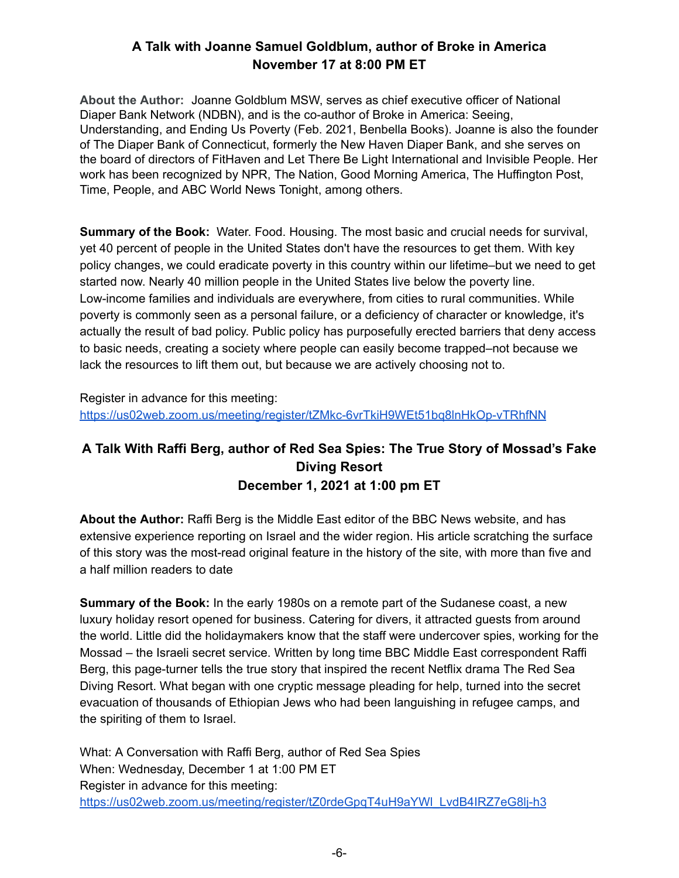# **A Talk with Joanne Samuel Goldblum, author of Broke in America November 17 at 8:00 PM ET**

**About the Author:** Joanne Goldblum MSW, serves as chief executive officer of National Diaper Bank Network (NDBN), and is the co-author of Broke in America: Seeing, Understanding, and Ending Us Poverty (Feb. 2021, Benbella Books). Joanne is also the founder of The Diaper Bank of Connecticut, formerly the New Haven Diaper Bank, and she serves on the board of directors of FitHaven and Let There Be Light International and Invisible People. Her work has been recognized by NPR, The Nation, Good Morning America, The Huffington Post, Time, People, and ABC World News Tonight, among others.

**Summary of the Book:** Water. Food. Housing. The most basic and crucial needs for survival, yet 40 percent of people in the United States don't have the resources to get them. With key policy changes, we could eradicate poverty in this country within our lifetime–but we need to get started now. Nearly 40 million people in the United States live below the poverty line. Low-income families and individuals are everywhere, from cities to rural communities. While poverty is commonly seen as a personal failure, or a deficiency of character or knowledge, it's actually the result of bad policy. Public policy has purposefully erected barriers that deny access to basic needs, creating a society where people can easily become trapped–not because we lack the resources to lift them out, but because we are actively choosing not to.

Register in advance for this meeting: <https://us02web.zoom.us/meeting/register/tZMkc-6vrTkiH9WEt51bq8lnHkOp-vTRhfNN>

# **A Talk With Raffi Berg, author of Red Sea Spies: The True Story of Mossad's Fake Diving Resort December 1, 2021 at 1:00 pm ET**

**About the Author:** Raffi Berg is the Middle East editor of the BBC News website, and has extensive experience reporting on Israel and the wider region. His article scratching the surface of this story was the most-read original feature in the history of the site, with more than five and a half million readers to date

**Summary of the Book:** In the early 1980s on a remote part of the Sudanese coast, a new luxury holiday resort opened for business. Catering for divers, it attracted guests from around the world. Little did the holidaymakers know that the staff were undercover spies, working for the Mossad – the Israeli secret service. Written by long time BBC Middle East correspondent Raffi Berg, this page-turner tells the true story that inspired the recent Netflix drama The Red Sea Diving Resort. What began with one cryptic message pleading for help, turned into the secret evacuation of thousands of Ethiopian Jews who had been languishing in refugee camps, and the spiriting of them to Israel.

What: A Conversation with Raffi Berg, author of Red Sea Spies When: Wednesday, December 1 at 1:00 PM ET Register in advance for this meeting: [https://us02web.zoom.us/meeting/register/tZ0rdeGpqT4uH9aYWl\\_LvdB4IRZ7eG8lj-h3](https://us02web.zoom.us/meeting/register/tZ0rdeGpqT4uH9aYWl_LvdB4IRZ7eG8lj-h3)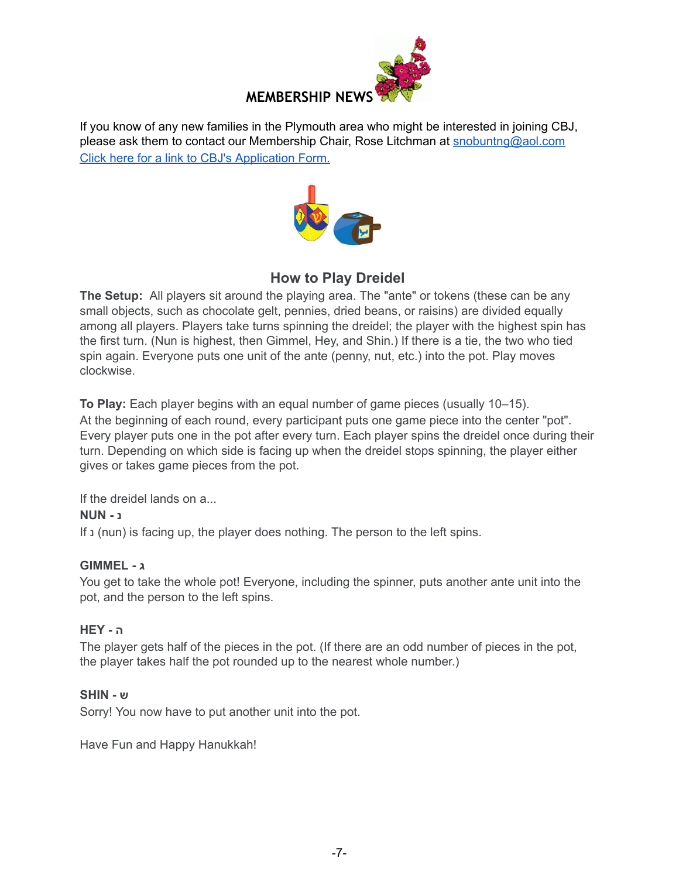

If you know of any new families in the Plymouth area who might be interested in joining CBJ, please ask them to contact our Membership Chair, Rose Litchman at [snobuntng@aol.com](mailto:snobuntng@aol.com) Click here for a link to CBJ's [Application](https://www.cbjplymouth.org/join/membership-form) Form.



# **How to Play Dreidel**

**The Setup:** All players sit around the playing area. The "ante" or tokens (these can be any small objects, such as chocolate gelt, pennies, dried beans, or raisins) are divided equally among all players. Players take turns spinning the dreidel; the player with the highest spin has the first turn. (Nun is highest, then Gimmel, Hey, and Shin.) If there is a tie, the two who tied spin again. Everyone puts one unit of the ante (penny, nut, etc.) into the pot. Play moves clockwise.

**To Play:** Each player begins with an equal number of game pieces (usually 10–15). At the beginning of each round, every participant puts one game piece into the center "pot". Every player puts one in the pot after every turn. Each player spins the dreidel once during their turn. Depending on which side is facing up when the dreidel stops spinning, the player either gives or takes game pieces from the pot.

If the dreidel lands on a...

#### **נ - NUN**

If נ) nun) is facing up, the player does nothing. The person to the left spins.

#### **ג - GIMMEL**

You get to take the whole pot! Everyone, including the spinner, puts another ante unit into the pot, and the person to the left spins.

#### **ה - HEY**

The player gets half of the pieces in the pot. (If there are an odd number of pieces in the pot, the player takes half the pot rounded up to the nearest whole number.)

#### **ש - SHIN**

Sorry! You now have to put another unit into the pot.

Have Fun and Happy Hanukkah!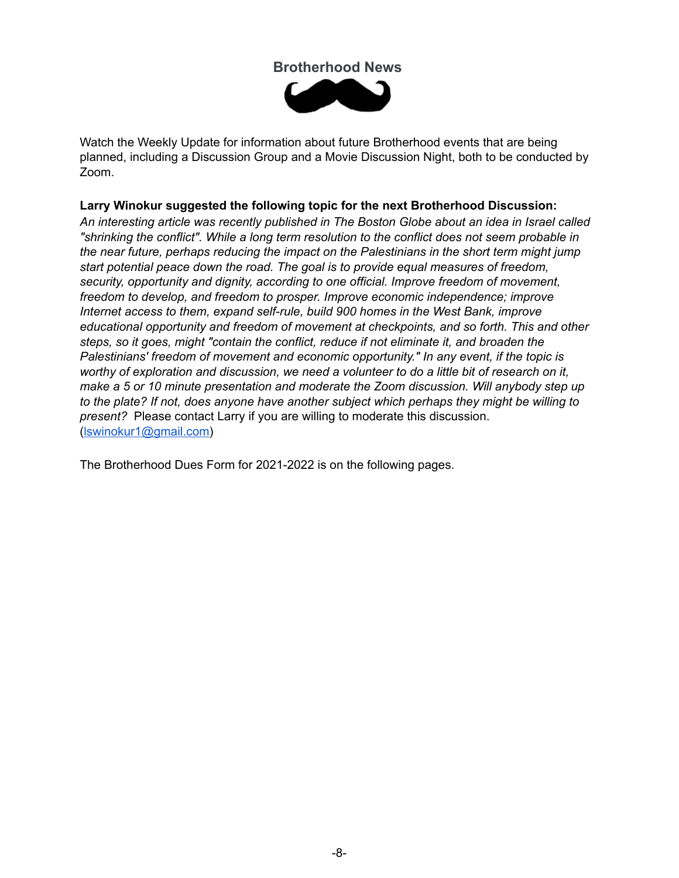## **Brotherhood News**



Watch the Weekly Update for information about future Brotherhood events that are being planned, including a Discussion Group and a Movie Discussion Night, both to be conducted by Zoom.

#### **Larry Winokur suggested the following topic for the next Brotherhood Discussion:**

*An interesting article was recently published in The Boston Globe about an idea in Israel called "shrinking the conflict". While a long term resolution to the conflict does not seem probable in the near future, perhaps reducing the impact on the Palestinians in the short term might jump start potential peace down the road. The goal is to provide equal measures of freedom, security, opportunity and dignity, according to one official. Improve freedom of movement, freedom to develop, and freedom to prosper. Improve economic independence; improve Internet access to them, expand self-rule, build 900 homes in the West Bank, improve educational opportunity and freedom of movement at checkpoints, and so forth. This and other steps, so it goes, might "contain the conflict, reduce if not eliminate it, and broaden the Palestinians' freedom of movement and economic opportunity." In any event, if the topic is worthy of exploration and discussion, we need a volunteer to do a little bit of research on it, make a 5 or 10 minute presentation and moderate the Zoom discussion. Will anybody step up to the plate? If not, does anyone have another subject which perhaps they might be willing to present?* Please contact Larry if you are willing to moderate this discussion. ([lswinokur1@gmail.com\)](mailto:lswinokur1@gmail.com)

The Brotherhood Dues Form for 2021-2022 is on the following pages.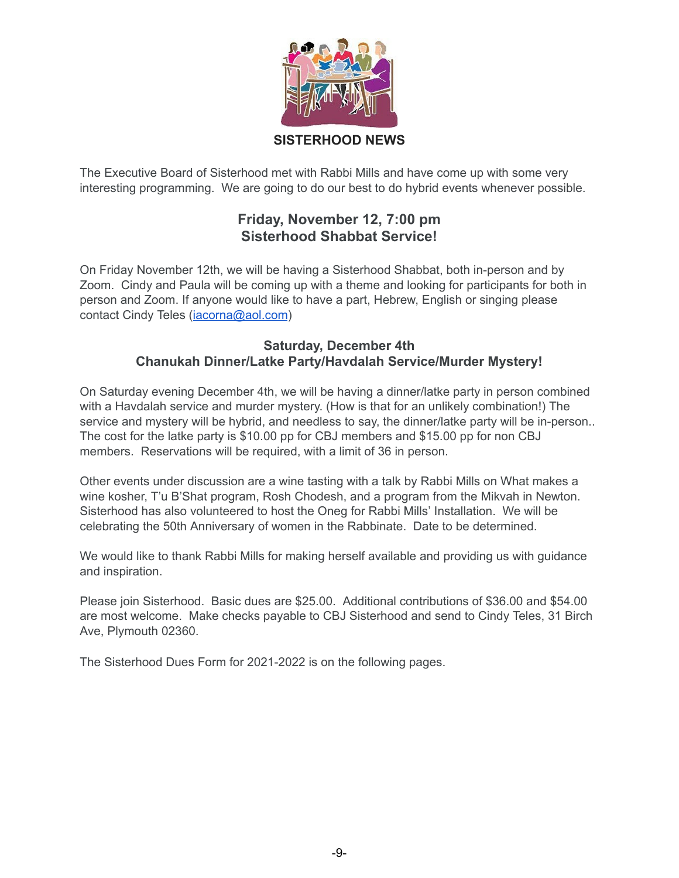

### **SISTERHOOD NEWS**

The Executive Board of Sisterhood met with Rabbi Mills and have come up with some very interesting programming. We are going to do our best to do hybrid events whenever possible.

# **Friday, November 12, 7:00 pm Sisterhood Shabbat Service!**

On Friday November 12th, we will be having a Sisterhood Shabbat, both in-person and by Zoom. Cindy and Paula will be coming up with a theme and looking for participants for both in person and Zoom. If anyone would like to have a part, Hebrew, English or singing please contact Cindy Teles [\(iacorna@aol.com\)](mailto:iacorna@aol.com)

#### **Saturday, December 4th Chanukah Dinner/Latke Party/Havdalah Service/Murder Mystery!**

On Saturday evening December 4th, we will be having a dinner/latke party in person combined with a Havdalah service and murder mystery. (How is that for an unlikely combination!) The service and mystery will be hybrid, and needless to say, the dinner/latke party will be in-person.. The cost for the latke party is \$10.00 pp for CBJ members and \$15.00 pp for non CBJ members. Reservations will be required, with a limit of 36 in person.

Other events under discussion are a wine tasting with a talk by Rabbi Mills on What makes a wine kosher, T'u B'Shat program, Rosh Chodesh, and a program from the Mikvah in Newton. Sisterhood has also volunteered to host the Oneg for Rabbi Mills' Installation. We will be celebrating the 50th Anniversary of women in the Rabbinate. Date to be determined.

We would like to thank Rabbi Mills for making herself available and providing us with guidance and inspiration.

Please join Sisterhood. Basic dues are \$25.00. Additional contributions of \$36.00 and \$54.00 are most welcome. Make checks payable to CBJ Sisterhood and send to Cindy Teles, 31 Birch Ave, Plymouth 02360.

The Sisterhood Dues Form for 2021-2022 is on the following pages.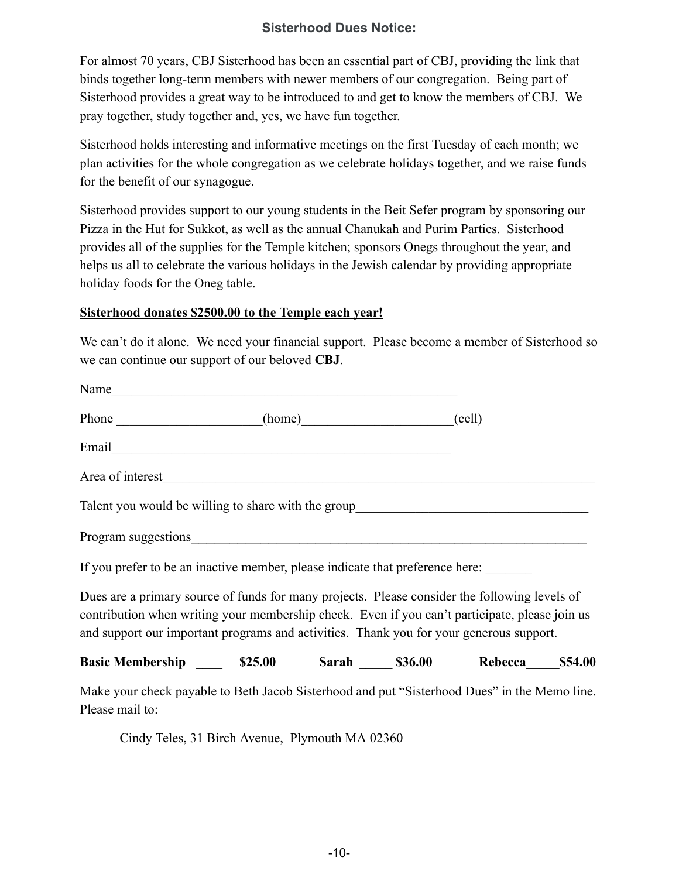## **Sisterhood Dues Notice:**

For almost 70 years, CBJ Sisterhood has been an essential part of CBJ, providing the link that binds together long-term members with newer members of our congregation. Being part of Sisterhood provides a great way to be introduced to and get to know the members of CBJ. We pray together, study together and, yes, we have fun together.

Sisterhood holds interesting and informative meetings on the first Tuesday of each month; we plan activities for the whole congregation as we celebrate holidays together, and we raise funds for the benefit of our synagogue.

Sisterhood provides support to our young students in the Beit Sefer program by sponsoring our Pizza in the Hut for Sukkot, as well as the annual Chanukah and Purim Parties. Sisterhood provides all of the supplies for the Temple kitchen; sponsors Onegs throughout the year, and helps us all to celebrate the various holidays in the Jewish calendar by providing appropriate holiday foods for the Oneg table.

#### **Sisterhood donates \$2500.00 to the Temple each year!**

We can't do it alone. We need your financial support. Please become a member of Sisterhood so we can continue our support of our beloved **CBJ**.

| Name                                                                                                                                                                                                                                                                                       |  |  |  |
|--------------------------------------------------------------------------------------------------------------------------------------------------------------------------------------------------------------------------------------------------------------------------------------------|--|--|--|
| Phone (home) (cell)                                                                                                                                                                                                                                                                        |  |  |  |
|                                                                                                                                                                                                                                                                                            |  |  |  |
| Area of interest_                                                                                                                                                                                                                                                                          |  |  |  |
| Talent you would be willing to share with the group______________________________                                                                                                                                                                                                          |  |  |  |
|                                                                                                                                                                                                                                                                                            |  |  |  |
| If you prefer to be an inactive member, please indicate that preference here:                                                                                                                                                                                                              |  |  |  |
| Dues are a primary source of funds for many projects. Please consider the following levels of<br>contribution when writing your membership check. Even if you can't participate, please join us<br>and support our important programs and activities. Thank you for your generous support. |  |  |  |
| Basic Membership 525.00 Sarah 536.00 Rebecca 554.00                                                                                                                                                                                                                                        |  |  |  |
| Make your check payable to Beth Jacob Sisterhood and put "Sisterhood Dues" in the Memo line.<br>Please mail to:                                                                                                                                                                            |  |  |  |

Cindy Teles, 31 Birch Avenue, Plymouth MA 02360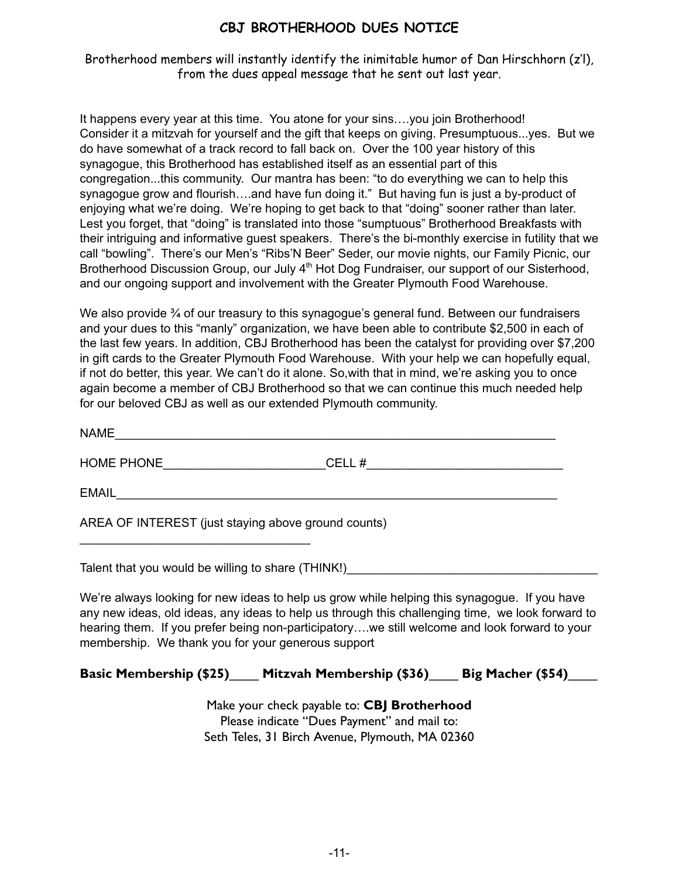## **CBJ BROTHERHOOD DUES NOTICE**

Brotherhood members will instantly identify the inimitable humor of Dan Hirschhorn (z'l), from the dues appeal message that he sent out last year.

It happens every year at this time. You atone for your sins….you join Brotherhood! Consider it a mitzvah for yourself and the gift that keeps on giving. Presumptuous...yes. But we do have somewhat of a track record to fall back on. Over the 100 year history of this synagogue, this Brotherhood has established itself as an essential part of this congregation...this community. Our mantra has been: "to do everything we can to help this synagogue grow and flourish....and have fun doing it." But having fun is just a by-product of enjoying what we're doing. We're hoping to get back to that "doing" sooner rather than later. Lest you forget, that "doing" is translated into those "sumptuous" Brotherhood Breakfasts with their intriguing and informative guest speakers. There's the bi-monthly exercise in futility that we call "bowling". There's our Men's "Ribs'N Beer" Seder, our movie nights, our Family Picnic, our Brotherhood Discussion Group, our July 4<sup>th</sup> Hot Dog Fundraiser, our support of our Sisterhood, and our ongoing support and involvement with the Greater Plymouth Food Warehouse.

We also provide  $\frac{3}{4}$  of our treasury to this synagogue's general fund. Between our fundraisers and your dues to this "manly" organization, we have been able to contribute \$2,500 in each of the last few years. In addition, CBJ Brotherhood has been the catalyst for providing over \$7,200 in gift cards to the Greater Plymouth Food Warehouse. With your help we can hopefully equal, if not do better, this year. We can't do it alone. So,with that in mind, we're asking you to once again become a member of CBJ Brotherhood so that we can continue this much needed help for our beloved CBJ as well as our extended Plymouth community.

| <b>NAME</b>                                         |       |
|-----------------------------------------------------|-------|
| HOME PHONE                                          | CELL# |
| <b>EMAIL</b>                                        |       |
| AREA OF INTEREST (just staying above ground counts) |       |

 $\mathcal{L}_\text{max}$  , where  $\mathcal{L}_\text{max}$  is the set of the set of the set of the set of the set of the set of the set of the set of the set of the set of the set of the set of the set of the set of the set of the set of the se

Talent that you would be willing to share (THINK!)

We're always looking for new ideas to help us grow while helping this synagogue. If you have any new ideas, old ideas, any ideas to help us through this challenging time, we look forward to hearing them. If you prefer being non-participatory….we still welcome and look forward to your membership. We thank you for your generous support

**Basic Membership (\$25)**\_\_\_\_ **Mitzvah Membership (\$36)**\_\_\_\_ **Big Macher (\$54)**\_\_\_\_

Make your check payable to: **CBJ Brotherhood** Please indicate "Dues Payment" and mail to: Seth Teles, 31 Birch Avenue, Plymouth, MA 02360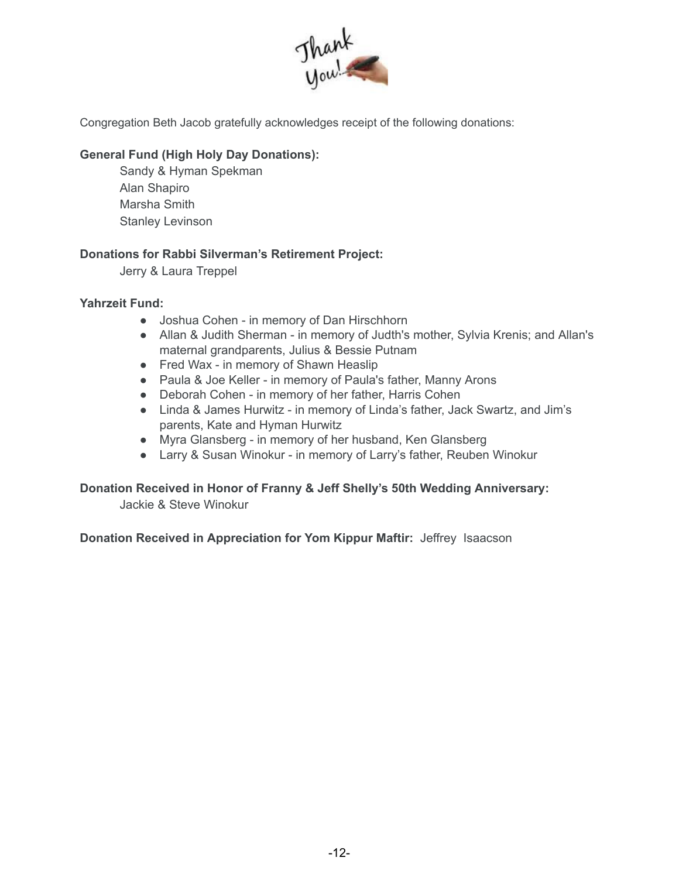

Congregation Beth Jacob gratefully acknowledges receipt of the following donations:

#### **General Fund (High Holy Day Donations):**

Sandy & Hyman Spekman Alan Shapiro Marsha Smith Stanley Levinson

#### **Donations for Rabbi Silverman's Retirement Project:**

Jerry & Laura Treppel

#### **Yahrzeit Fund:**

- Joshua Cohen in memory of Dan Hirschhorn
- Allan & Judith Sherman in memory of Judth's mother, Sylvia Krenis; and Allan's maternal grandparents, Julius & Bessie Putnam
- Fred Wax in memory of Shawn Heaslip
- Paula & Joe Keller in memory of Paula's father, Manny Arons
- Deborah Cohen in memory of her father, Harris Cohen
- Linda & James Hurwitz in memory of Linda's father, Jack Swartz, and Jim's parents, Kate and Hyman Hurwitz
- Myra Glansberg in memory of her husband, Ken Glansberg
- Larry & Susan Winokur in memory of Larry's father, Reuben Winokur

### **Donation Received in Honor of Franny & Jeff Shelly's 50th Wedding Anniversary:**

Jackie & Steve Winokur

**Donation Received in Appreciation for Yom Kippur Maftir:** Jeffrey Isaacson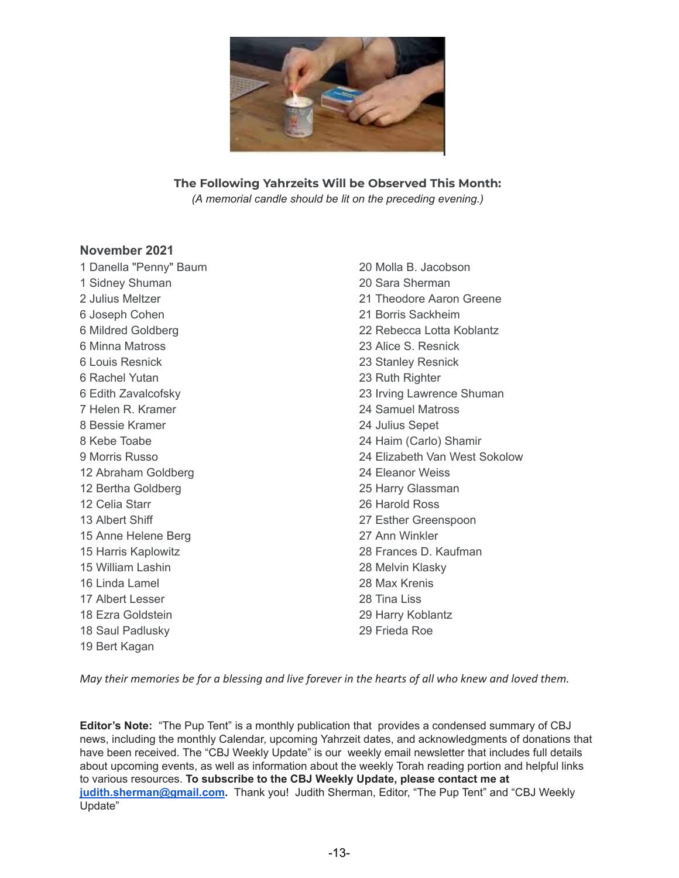

#### **The Following Yahrzeits Will be Observed This Month:**

*(A memorial candle should be lit on the preceding evening.)*

#### **November 2021**

1 Danella "Penny" Baum 1 Sidney Shuman 2 Julius Meltzer 6 Joseph Cohen 6 Mildred Goldberg 6 Minna Matross 6 Louis Resnick 6 Rachel Yutan 6 Edith Zavalcofsky 7 Helen R. Kramer 8 Bessie Kramer 8 Kebe Toabe 9 Morris Russo 12 Abraham Goldberg 12 Bertha Goldberg 12 Celia Starr 13 Albert Shiff 15 Anne Helene Berg 15 Harris Kaplowitz 15 William Lashin 16 Linda Lamel 17 Albert Lesser 18 Ezra Goldstein 18 Saul Padlusky 19 Bert Kagan

20 Molla B. Jacobson 20 Sara Sherman 21 Theodore Aaron Greene 21 Borris Sackheim 22 Rebecca Lotta Koblantz 23 Alice S. Resnick 23 Stanley Resnick 23 Ruth Righter 23 Irving Lawrence Shuman 24 Samuel Matross 24 Julius Sepet 24 Haim (Carlo) Shamir 24 Elizabeth Van West Sokolow 24 Eleanor Weiss 25 Harry Glassman 26 Harold Ross 27 Esther Greenspoon 27 Ann Winkler 28 Frances D. Kaufman 28 Melvin Klasky 28 Max Krenis 28 Tina Liss 29 Harry Koblantz 29 Frieda Roe

May their memories be for a blessing and live forever in the hearts of all who knew and loved them.

**Editor's Note:** "The Pup Tent" is a monthly publication that provides a condensed summary of CBJ news, including the monthly Calendar, upcoming Yahrzeit dates, and acknowledgments of donations that have been received. The "CBJ Weekly Update" is our weekly email newsletter that includes full details about upcoming events, as well as information about the weekly Torah reading portion and helpful links to various resources. **To subscribe to the CBJ Weekly Update, please contact me at [judith.sherman@gmail.com](mailto:judith.sherman@gmail.com).** Thank you! Judith Sherman, Editor, "The Pup Tent" and "CBJ Weekly Update"